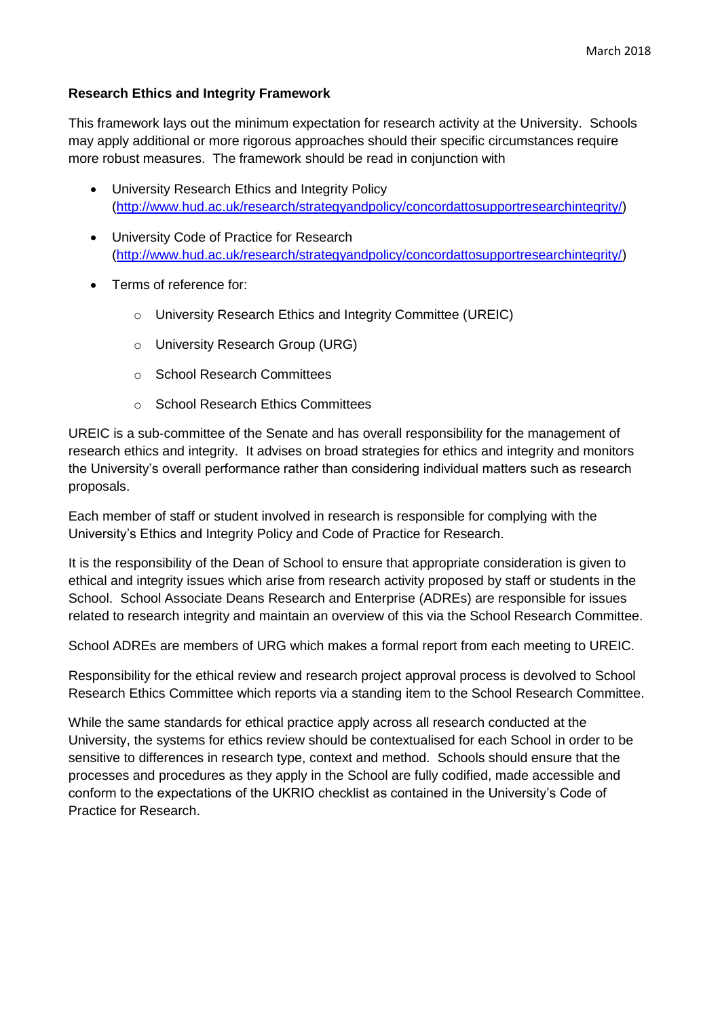## **Research Ethics and Integrity Framework**

This framework lays out the minimum expectation for research activity at the University. Schools may apply additional or more rigorous approaches should their specific circumstances require more robust measures. The framework should be read in conjunction with

- University Research Ethics and Integrity Policy [\(http://www.hud.ac.uk/research/strategyandpolicy/concordattosupportresearchintegrity/\)](http://www.hud.ac.uk/research/strategyandpolicy/concordattosupportresearchintegrity/)
- University Code of Practice for Research [\(http://www.hud.ac.uk/research/strategyandpolicy/concordattosupportresearchintegrity/\)](http://www.hud.ac.uk/research/strategyandpolicy/concordattosupportresearchintegrity/)
- Terms of reference for:
	- o University Research Ethics and Integrity Committee (UREIC)
	- o University Research Group (URG)
	- o School Research Committees
	- o School Research Ethics Committees

UREIC is a sub-committee of the Senate and has overall responsibility for the management of research ethics and integrity. It advises on broad strategies for ethics and integrity and monitors the University's overall performance rather than considering individual matters such as research proposals.

Each member of staff or student involved in research is responsible for complying with the University's Ethics and Integrity Policy and Code of Practice for Research.

It is the responsibility of the Dean of School to ensure that appropriate consideration is given to ethical and integrity issues which arise from research activity proposed by staff or students in the School. School Associate Deans Research and Enterprise (ADREs) are responsible for issues related to research integrity and maintain an overview of this via the School Research Committee.

School ADREs are members of URG which makes a formal report from each meeting to UREIC.

Responsibility for the ethical review and research project approval process is devolved to School Research Ethics Committee which reports via a standing item to the School Research Committee.

While the same standards for ethical practice apply across all research conducted at the University, the systems for ethics review should be contextualised for each School in order to be sensitive to differences in research type, context and method. Schools should ensure that the processes and procedures as they apply in the School are fully codified, made accessible and conform to the expectations of the UKRIO checklist as contained in the University's Code of Practice for Research.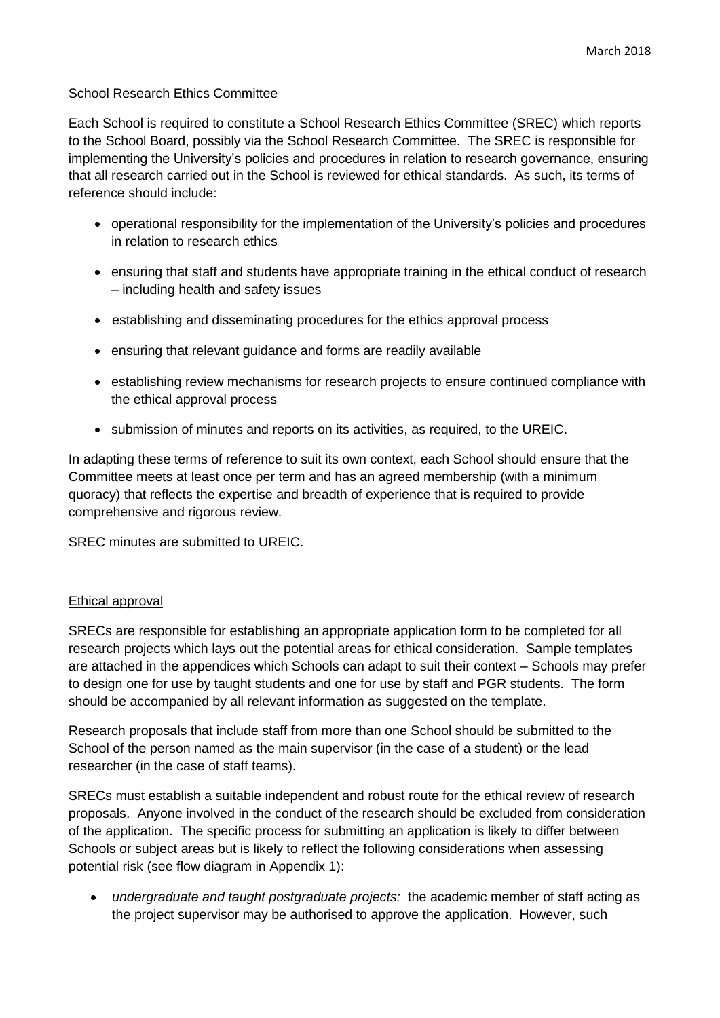## School Research Ethics Committee

Each School is required to constitute a School Research Ethics Committee (SREC) which reports to the School Board, possibly via the School Research Committee. The SREC is responsible for implementing the University's policies and procedures in relation to research governance, ensuring that all research carried out in the School is reviewed for ethical standards. As such, its terms of reference should include:

- operational responsibility for the implementation of the University's policies and procedures in relation to research ethics
- ensuring that staff and students have appropriate training in the ethical conduct of research – including health and safety issues
- establishing and disseminating procedures for the ethics approval process
- ensuring that relevant guidance and forms are readily available
- establishing review mechanisms for research projects to ensure continued compliance with the ethical approval process
- submission of minutes and reports on its activities, as required, to the UREIC.

In adapting these terms of reference to suit its own context, each School should ensure that the Committee meets at least once per term and has an agreed membership (with a minimum quoracy) that reflects the expertise and breadth of experience that is required to provide comprehensive and rigorous review.

SREC minutes are submitted to UREIC.

## Ethical approval

SRECs are responsible for establishing an appropriate application form to be completed for all research projects which lays out the potential areas for ethical consideration. Sample templates are attached in the appendices which Schools can adapt to suit their context – Schools may prefer to design one for use by taught students and one for use by staff and PGR students. The form should be accompanied by all relevant information as suggested on the template.

Research proposals that include staff from more than one School should be submitted to the School of the person named as the main supervisor (in the case of a student) or the lead researcher (in the case of staff teams).

SRECs must establish a suitable independent and robust route for the ethical review of research proposals. Anyone involved in the conduct of the research should be excluded from consideration of the application. The specific process for submitting an application is likely to differ between Schools or subject areas but is likely to reflect the following considerations when assessing potential risk (see flow diagram in Appendix 1):

 *undergraduate and taught postgraduate projects:* the academic member of staff acting as the project supervisor may be authorised to approve the application. However, such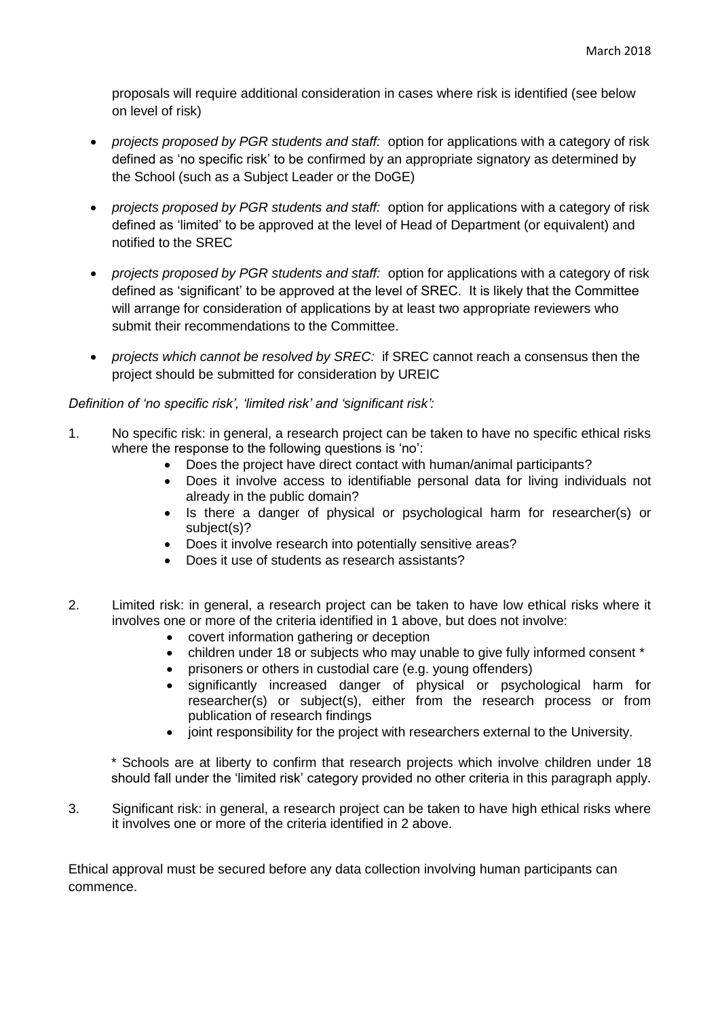proposals will require additional consideration in cases where risk is identified (see below on level of risk)

- *projects proposed by PGR students and staff:* option for applications with a category of risk defined as 'no specific risk' to be confirmed by an appropriate signatory as determined by the School (such as a Subject Leader or the DoGE)
- *projects proposed by PGR students and staff:* option for applications with a category of risk defined as 'limited' to be approved at the level of Head of Department (or equivalent) and notified to the SREC
- *projects proposed by PGR students and staff:* option for applications with a category of risk defined as 'significant' to be approved at the level of SREC. It is likely that the Committee will arrange for consideration of applications by at least two appropriate reviewers who submit their recommendations to the Committee.
- *projects which cannot be resolved by SREC:* if SREC cannot reach a consensus then the project should be submitted for consideration by UREIC

## *Definition of 'no specific risk', 'limited risk' and 'significant risk':*

- 1. No specific risk: in general, a research project can be taken to have no specific ethical risks where the response to the following questions is 'no':
	- Does the project have direct contact with human/animal participants?
	- Does it involve access to identifiable personal data for living individuals not already in the public domain?
	- Is there a danger of physical or psychological harm for researcher(s) or subject(s)?
	- Does it involve research into potentially sensitive areas?
	- Does it use of students as research assistants?
- 2. Limited risk: in general, a research project can be taken to have low ethical risks where it involves one or more of the criteria identified in 1 above, but does not involve:
	- covert information gathering or deception
	- children under 18 or subjects who may unable to give fully informed consent \*
	- prisoners or others in custodial care (e.g. young offenders)
	- significantly increased danger of physical or psychological harm for researcher(s) or subject(s), either from the research process or from publication of research findings
	- joint responsibility for the project with researchers external to the University.

\* Schools are at liberty to confirm that research projects which involve children under 18 should fall under the 'limited risk' category provided no other criteria in this paragraph apply.

3. Significant risk: in general, a research project can be taken to have high ethical risks where it involves one or more of the criteria identified in 2 above.

Ethical approval must be secured before any data collection involving human participants can commence.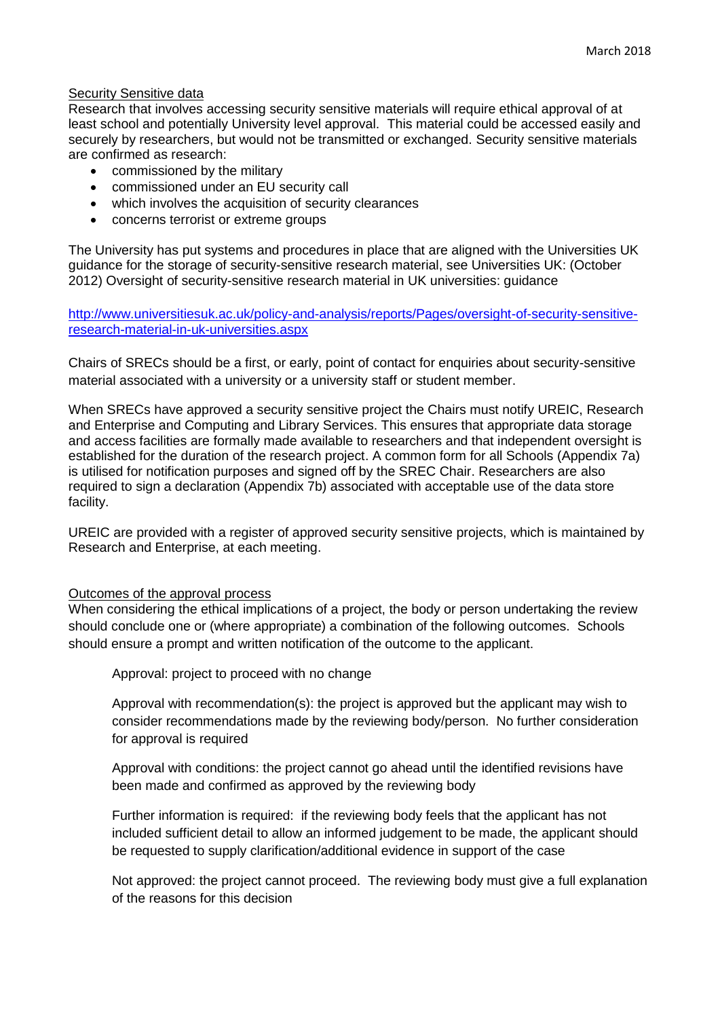#### Security Sensitive data

Research that involves accessing security sensitive materials will require ethical approval of at least school and potentially University level approval. This material could be accessed easily and securely by researchers, but would not be transmitted or exchanged. Security sensitive materials are confirmed as research:

- commissioned by the military
- commissioned under an EU security call
- which involves the acquisition of security clearances
- concerns terrorist or extreme groups

The University has put systems and procedures in place that are aligned with the Universities UK guidance for the storage of security-sensitive research material, see Universities UK: (October 2012) Oversight of security-sensitive research material in UK universities: guidance

[http://www.universitiesuk.ac.uk/policy-and-analysis/reports/Pages/oversight-of-security-sensitive](http://www.universitiesuk.ac.uk/policy-and-analysis/reports/Pages/oversight-of-security-sensitive-research-material-in-uk-universities.aspx)[research-material-in-uk-universities.aspx](http://www.universitiesuk.ac.uk/policy-and-analysis/reports/Pages/oversight-of-security-sensitive-research-material-in-uk-universities.aspx)

Chairs of SRECs should be a first, or early, point of contact for enquiries about security-sensitive material associated with a university or a university staff or student member.

When SRECs have approved a security sensitive project the Chairs must notify UREIC, Research and Enterprise and Computing and Library Services. This ensures that appropriate data storage and access facilities are formally made available to researchers and that independent oversight is established for the duration of the research project. A common form for all Schools (Appendix 7a) is utilised for notification purposes and signed off by the SREC Chair. Researchers are also required to sign a declaration (Appendix 7b) associated with acceptable use of the data store facility.

UREIC are provided with a register of approved security sensitive projects, which is maintained by Research and Enterprise, at each meeting.

#### Outcomes of the approval process

When considering the ethical implications of a project, the body or person undertaking the review should conclude one or (where appropriate) a combination of the following outcomes. Schools should ensure a prompt and written notification of the outcome to the applicant.

Approval: project to proceed with no change

Approval with recommendation(s): the project is approved but the applicant may wish to consider recommendations made by the reviewing body/person. No further consideration for approval is required

Approval with conditions: the project cannot go ahead until the identified revisions have been made and confirmed as approved by the reviewing body

Further information is required: if the reviewing body feels that the applicant has not included sufficient detail to allow an informed judgement to be made, the applicant should be requested to supply clarification/additional evidence in support of the case

Not approved: the project cannot proceed. The reviewing body must give a full explanation of the reasons for this decision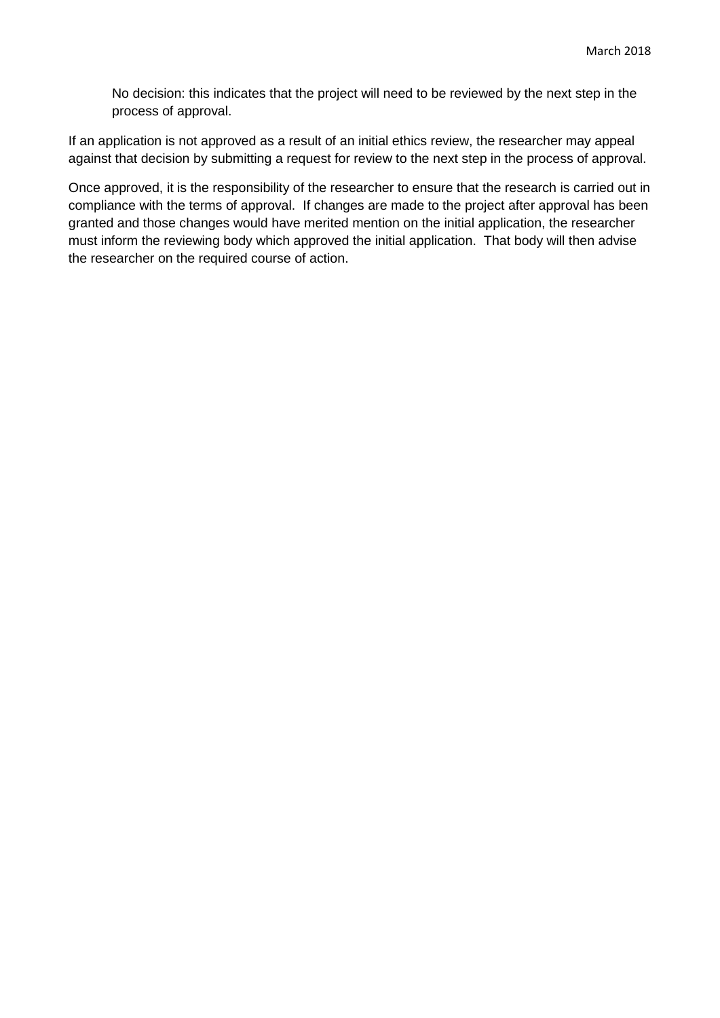No decision: this indicates that the project will need to be reviewed by the next step in the process of approval.

If an application is not approved as a result of an initial ethics review, the researcher may appeal against that decision by submitting a request for review to the next step in the process of approval.

Once approved, it is the responsibility of the researcher to ensure that the research is carried out in compliance with the terms of approval. If changes are made to the project after approval has been granted and those changes would have merited mention on the initial application, the researcher must inform the reviewing body which approved the initial application. That body will then advise the researcher on the required course of action.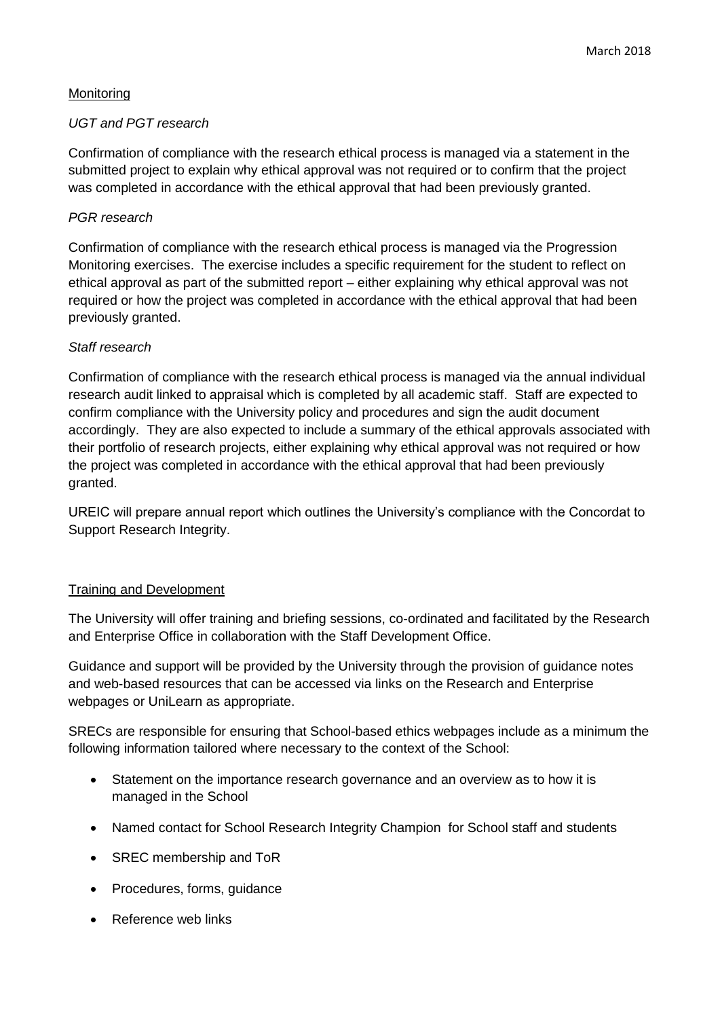## **Monitoring**

## *UGT and PGT research*

Confirmation of compliance with the research ethical process is managed via a statement in the submitted project to explain why ethical approval was not required or to confirm that the project was completed in accordance with the ethical approval that had been previously granted.

## *PGR research*

Confirmation of compliance with the research ethical process is managed via the Progression Monitoring exercises. The exercise includes a specific requirement for the student to reflect on ethical approval as part of the submitted report – either explaining why ethical approval was not required or how the project was completed in accordance with the ethical approval that had been previously granted.

## *Staff research*

Confirmation of compliance with the research ethical process is managed via the annual individual research audit linked to appraisal which is completed by all academic staff. Staff are expected to confirm compliance with the University policy and procedures and sign the audit document accordingly. They are also expected to include a summary of the ethical approvals associated with their portfolio of research projects, either explaining why ethical approval was not required or how the project was completed in accordance with the ethical approval that had been previously granted.

UREIC will prepare annual report which outlines the University's compliance with the Concordat to Support Research Integrity.

## Training and Development

The University will offer training and briefing sessions, co-ordinated and facilitated by the Research and Enterprise Office in collaboration with the Staff Development Office.

Guidance and support will be provided by the University through the provision of guidance notes and web-based resources that can be accessed via links on the Research and Enterprise webpages or UniLearn as appropriate.

SRECs are responsible for ensuring that School-based ethics webpages include as a minimum the following information tailored where necessary to the context of the School:

- Statement on the importance research governance and an overview as to how it is managed in the School
- Named contact for School Research Integrity Champion for School staff and students
- SREC membership and ToR
- Procedures, forms, guidance
- Reference web links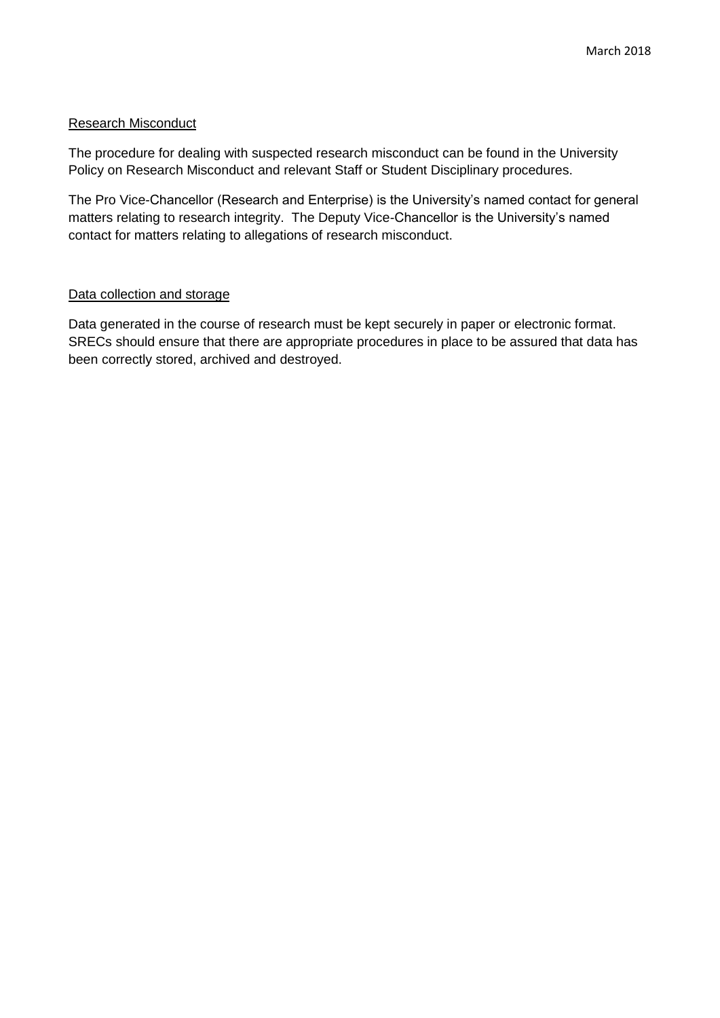### Research Misconduct

The procedure for dealing with suspected research misconduct can be found in the University Policy on Research Misconduct and relevant Staff or Student Disciplinary procedures.

The Pro Vice-Chancellor (Research and Enterprise) is the University's named contact for general matters relating to research integrity. The Deputy Vice-Chancellor is the University's named contact for matters relating to allegations of research misconduct.

#### Data collection and storage

Data generated in the course of research must be kept securely in paper or electronic format. SRECs should ensure that there are appropriate procedures in place to be assured that data has been correctly stored, archived and destroyed.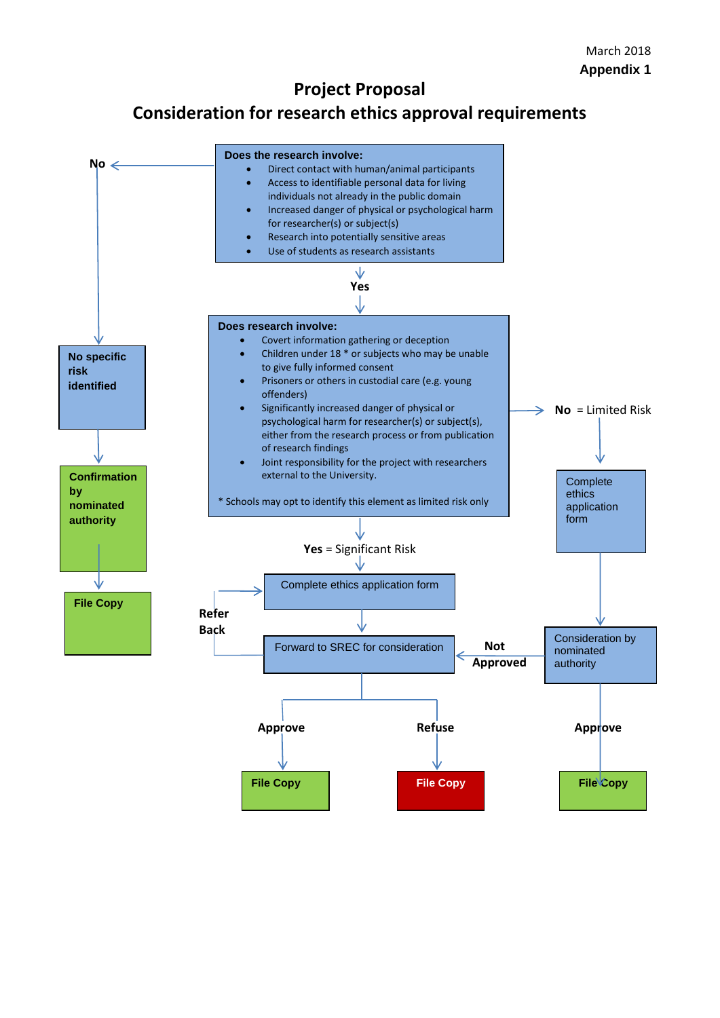## **Project Proposal**

# **Consideration for research ethics approval requirements**

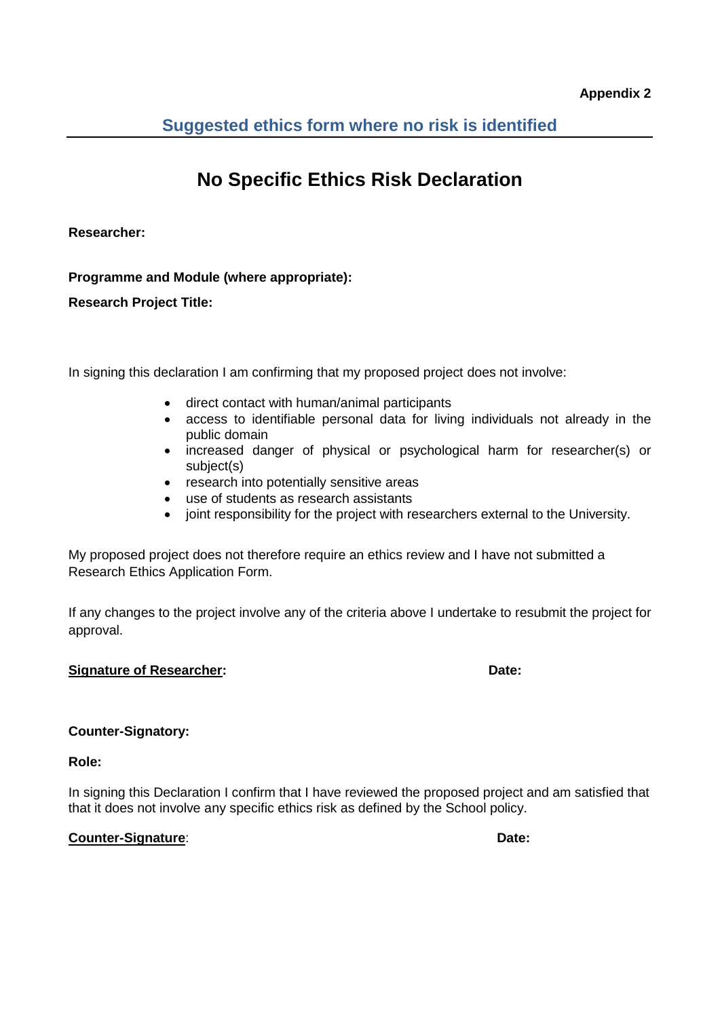**Suggested ethics form where no risk is identified**

# **No Specific Ethics Risk Declaration**

**Researcher:**

**Programme and Module (where appropriate):**

**Research Project Title:** 

In signing this declaration I am confirming that my proposed project does not involve:

- direct contact with human/animal participants
- access to identifiable personal data for living individuals not already in the public domain
- increased danger of physical or psychological harm for researcher(s) or subject(s)
- research into potentially sensitive areas
- use of students as research assistants
- joint responsibility for the project with researchers external to the University.

My proposed project does not therefore require an ethics review and I have not submitted a Research Ethics Application Form.

If any changes to the project involve any of the criteria above I undertake to resubmit the project for approval.

## **Signature of Researcher: Date:**

## **Counter-Signatory:**

**Role:** 

In signing this Declaration I confirm that I have reviewed the proposed project and am satisfied that that it does not involve any specific ethics risk as defined by the School policy.

## **Counter-Signature: Date: Date: Date: Date: Date: Date: Date: Date: Date: Date: Date: Date: Date: Date: Date: Date: Date: Date: Date: Date: Date: Date: Date: Date: Date:**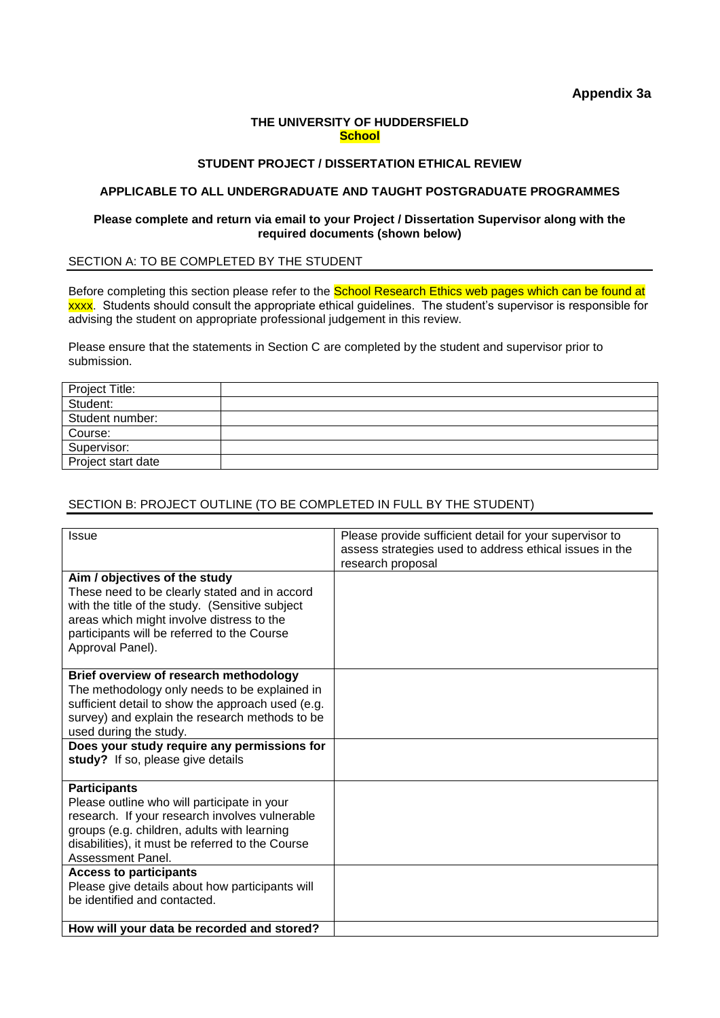#### **THE UNIVERSITY OF HUDDERSFIELD School**

#### **STUDENT PROJECT / DISSERTATION ETHICAL REVIEW**

#### **APPLICABLE TO ALL UNDERGRADUATE AND TAUGHT POSTGRADUATE PROGRAMMES**

#### **Please complete and return via email to your Project / Dissertation Supervisor along with the required documents (shown below)**

SECTION A: TO BE COMPLETED BY THE STUDENT

Before completing this section please refer to the **School Research Ethics web pages which can be found at** xxxx. Students should consult the appropriate ethical guidelines. The student's supervisor is responsible for advising the student on appropriate professional judgement in this review.

Please ensure that the statements in Section C are completed by the student and supervisor prior to submission.

| Project Title:     |  |
|--------------------|--|
| Student:           |  |
| Student number:    |  |
| Course:            |  |
| Supervisor:        |  |
| Project start date |  |

## SECTION B: PROJECT OUTLINE (TO BE COMPLETED IN FULL BY THE STUDENT)

| <b>Issue</b>                                                                            | Please provide sufficient detail for your supervisor to |
|-----------------------------------------------------------------------------------------|---------------------------------------------------------|
|                                                                                         | assess strategies used to address ethical issues in the |
|                                                                                         | research proposal                                       |
| Aim / objectives of the study                                                           |                                                         |
| These need to be clearly stated and in accord                                           |                                                         |
| with the title of the study. (Sensitive subject                                         |                                                         |
| areas which might involve distress to the                                               |                                                         |
| participants will be referred to the Course                                             |                                                         |
| Approval Panel).                                                                        |                                                         |
|                                                                                         |                                                         |
| Brief overview of research methodology<br>The methodology only needs to be explained in |                                                         |
| sufficient detail to show the approach used (e.g.                                       |                                                         |
| survey) and explain the research methods to be                                          |                                                         |
| used during the study.                                                                  |                                                         |
| Does your study require any permissions for                                             |                                                         |
| study? If so, please give details                                                       |                                                         |
|                                                                                         |                                                         |
| <b>Participants</b>                                                                     |                                                         |
| Please outline who will participate in your                                             |                                                         |
| research. If your research involves vulnerable                                          |                                                         |
| groups (e.g. children, adults with learning                                             |                                                         |
| disabilities), it must be referred to the Course                                        |                                                         |
| Assessment Panel.                                                                       |                                                         |
| <b>Access to participants</b>                                                           |                                                         |
| Please give details about how participants will                                         |                                                         |
| be identified and contacted.                                                            |                                                         |
|                                                                                         |                                                         |
| How will your data be recorded and stored?                                              |                                                         |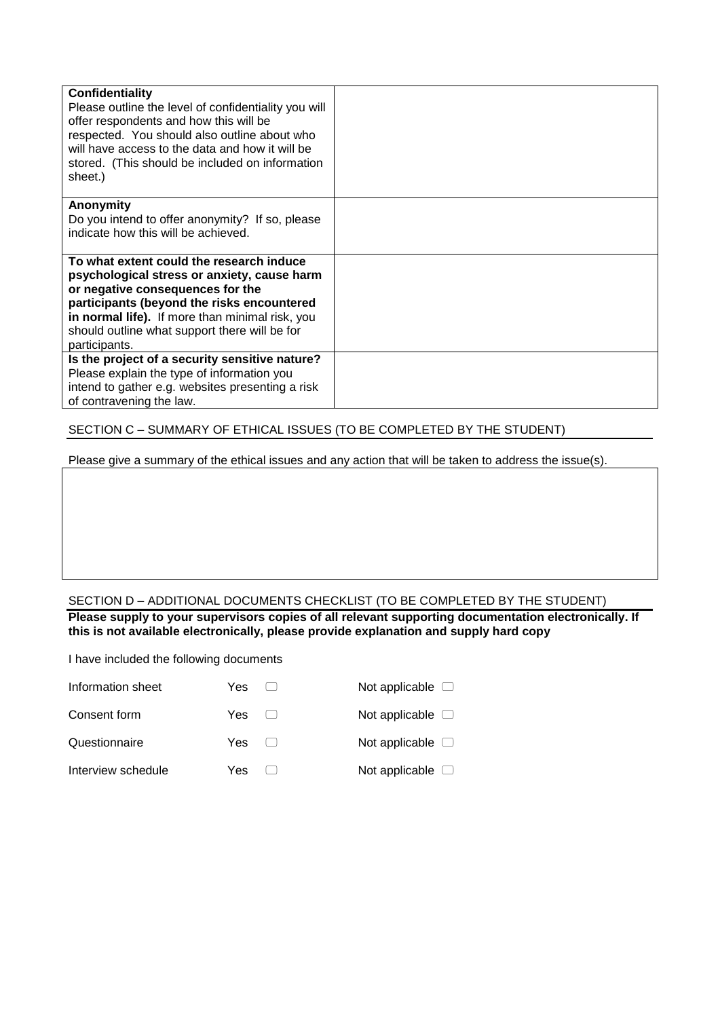| Confidentiality<br>Please outline the level of confidentiality you will<br>offer respondents and how this will be<br>respected. You should also outline about who<br>will have access to the data and how it will be<br>stored. (This should be included on information<br>sheet.)             |  |
|------------------------------------------------------------------------------------------------------------------------------------------------------------------------------------------------------------------------------------------------------------------------------------------------|--|
| Anonymity<br>Do you intend to offer anonymity? If so, please<br>indicate how this will be achieved.                                                                                                                                                                                            |  |
| To what extent could the research induce<br>psychological stress or anxiety, cause harm<br>or negative consequences for the<br>participants (beyond the risks encountered<br>in normal life). If more than minimal risk, you<br>should outline what support there will be for<br>participants. |  |
| Is the project of a security sensitive nature?<br>Please explain the type of information you<br>intend to gather e.g. websites presenting a risk<br>of contravening the law.                                                                                                                   |  |

#### SECTION C – SUMMARY OF ETHICAL ISSUES (TO BE COMPLETED BY THE STUDENT)

Please give a summary of the ethical issues and any action that will be taken to address the issue(s).

#### SECTION D – ADDITIONAL DOCUMENTS CHECKLIST (TO BE COMPLETED BY THE STUDENT)

**Please supply to your supervisors copies of all relevant supporting documentation electronically. If this is not available electronically, please provide explanation and supply hard copy**

I have included the following documents

| Information sheet  | Yes     | Not applicable $\Box$ |
|--------------------|---------|-----------------------|
| Consent form       |         | Not applicable $\Box$ |
| Questionnaire      | Yes [ ] | Not applicable $\Box$ |
| Interview schedule | Yes     | Not applicable $\Box$ |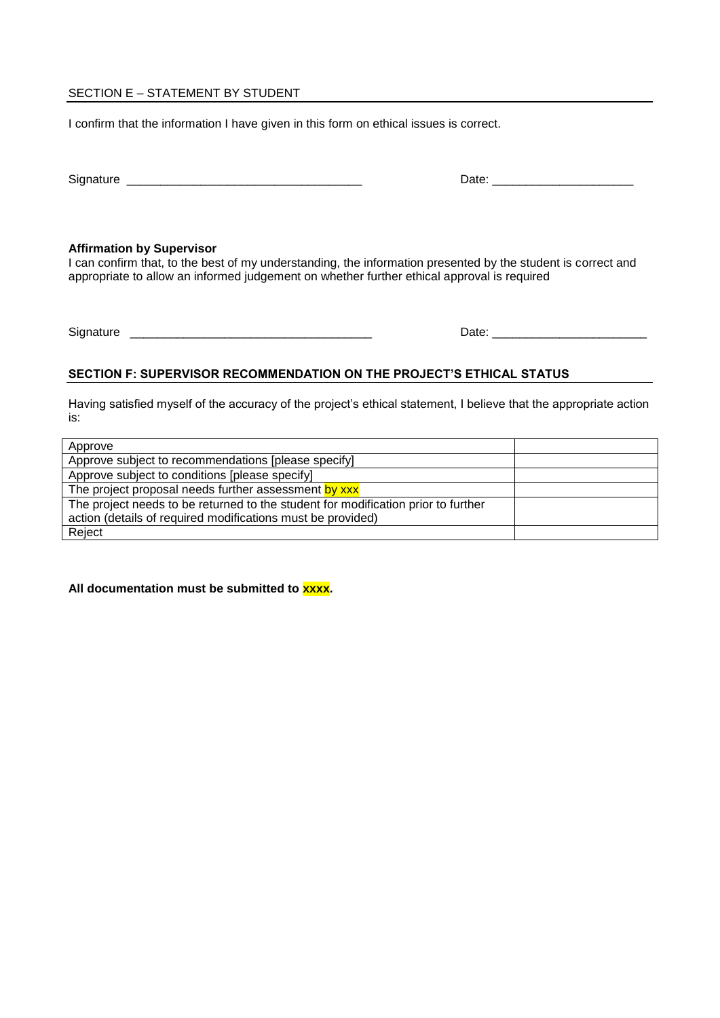#### SECTION E – STATEMENT BY STUDENT

I confirm that the information I have given in this form on ethical issues is correct.

| <b>.</b><br>ەוט |  |
|-----------------|--|
|                 |  |

#### **Affirmation by Supervisor**

I can confirm that, to the best of my understanding, the information presented by the student is correct and appropriate to allow an informed judgement on whether further ethical approval is required

Signature \_\_\_\_\_\_\_\_\_\_\_\_\_\_\_\_\_\_\_\_\_\_\_\_\_\_\_\_\_\_\_\_\_\_\_\_ Date: \_\_\_\_\_\_\_\_\_\_\_\_\_\_\_\_\_\_\_\_\_\_\_

#### **SECTION F: SUPERVISOR RECOMMENDATION ON THE PROJECT'S ETHICAL STATUS**

Having satisfied myself of the accuracy of the project's ethical statement, I believe that the appropriate action is:

| Approve                                                                           |  |
|-----------------------------------------------------------------------------------|--|
| Approve subject to recommendations [please specify]                               |  |
| Approve subject to conditions [please specify]                                    |  |
| The project proposal needs further assessment by xxx                              |  |
| The project needs to be returned to the student for modification prior to further |  |
| action (details of required modifications must be provided)                       |  |
| Reject                                                                            |  |

All documentation must be submitted to **xxxx**.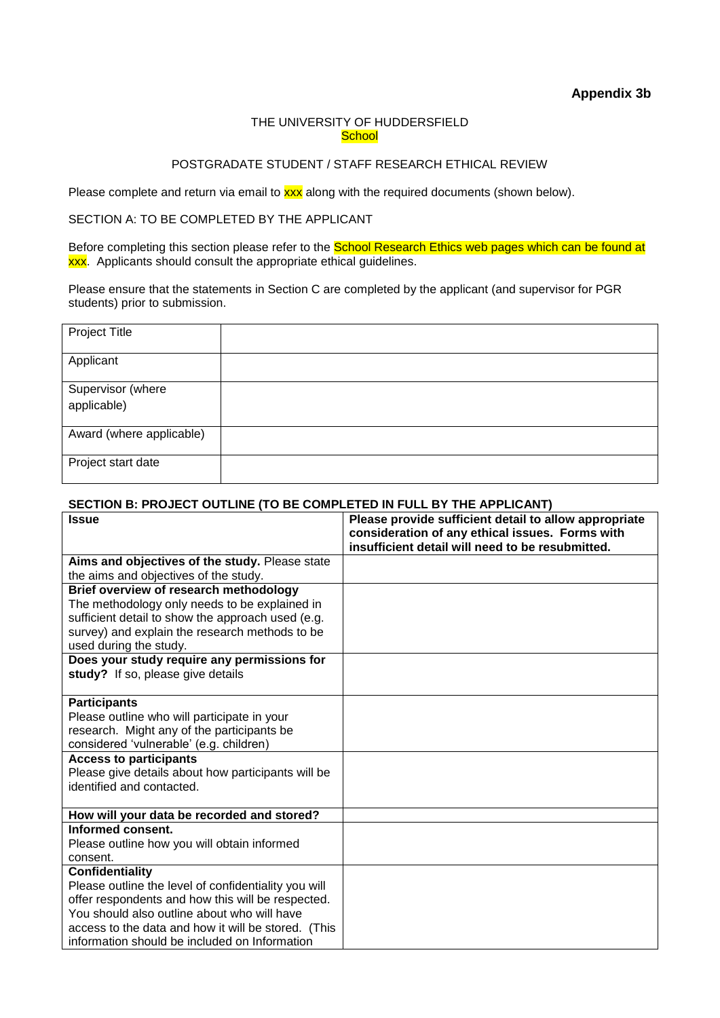**Appendix 3b**

#### THE UNIVERSITY OF HUDDERSFIELD **School**

#### POSTGRADATE STUDENT / STAFF RESEARCH ETHICAL REVIEW

Please complete and return via email to **xxx** along with the required documents (shown below).

## SECTION A: TO BE COMPLETED BY THE APPLICANT

Before completing this section please refer to the School Research Ethics web pages which can be found at **xxx**. Applicants should consult the appropriate ethical guidelines.

Please ensure that the statements in Section C are completed by the applicant (and supervisor for PGR students) prior to submission.

| Project Title            |  |
|--------------------------|--|
| Applicant                |  |
| Supervisor (where        |  |
| applicable)              |  |
| Award (where applicable) |  |
| Project start date       |  |

#### **SECTION B: PROJECT OUTLINE (TO BE COMPLETED IN FULL BY THE APPLICANT)**

| <b>Issue</b>                                         | Please provide sufficient detail to allow appropriate<br>consideration of any ethical issues. Forms with |
|------------------------------------------------------|----------------------------------------------------------------------------------------------------------|
|                                                      | insufficient detail will need to be resubmitted.                                                         |
| Aims and objectives of the study. Please state       |                                                                                                          |
| the aims and objectives of the study.                |                                                                                                          |
| Brief overview of research methodology               |                                                                                                          |
| The methodology only needs to be explained in        |                                                                                                          |
| sufficient detail to show the approach used (e.g.    |                                                                                                          |
| survey) and explain the research methods to be       |                                                                                                          |
| used during the study.                               |                                                                                                          |
| Does your study require any permissions for          |                                                                                                          |
| study? If so, please give details                    |                                                                                                          |
|                                                      |                                                                                                          |
| <b>Participants</b>                                  |                                                                                                          |
| Please outline who will participate in your          |                                                                                                          |
| research. Might any of the participants be           |                                                                                                          |
| considered 'vulnerable' (e.g. children)              |                                                                                                          |
| <b>Access to participants</b>                        |                                                                                                          |
| Please give details about how participants will be   |                                                                                                          |
| identified and contacted.                            |                                                                                                          |
|                                                      |                                                                                                          |
| How will your data be recorded and stored?           |                                                                                                          |
| Informed consent.                                    |                                                                                                          |
| Please outline how you will obtain informed          |                                                                                                          |
| consent.                                             |                                                                                                          |
| Confidentiality                                      |                                                                                                          |
| Please outline the level of confidentiality you will |                                                                                                          |
| offer respondents and how this will be respected.    |                                                                                                          |
| You should also outline about who will have          |                                                                                                          |
| access to the data and how it will be stored. (This  |                                                                                                          |
| information should be included on Information        |                                                                                                          |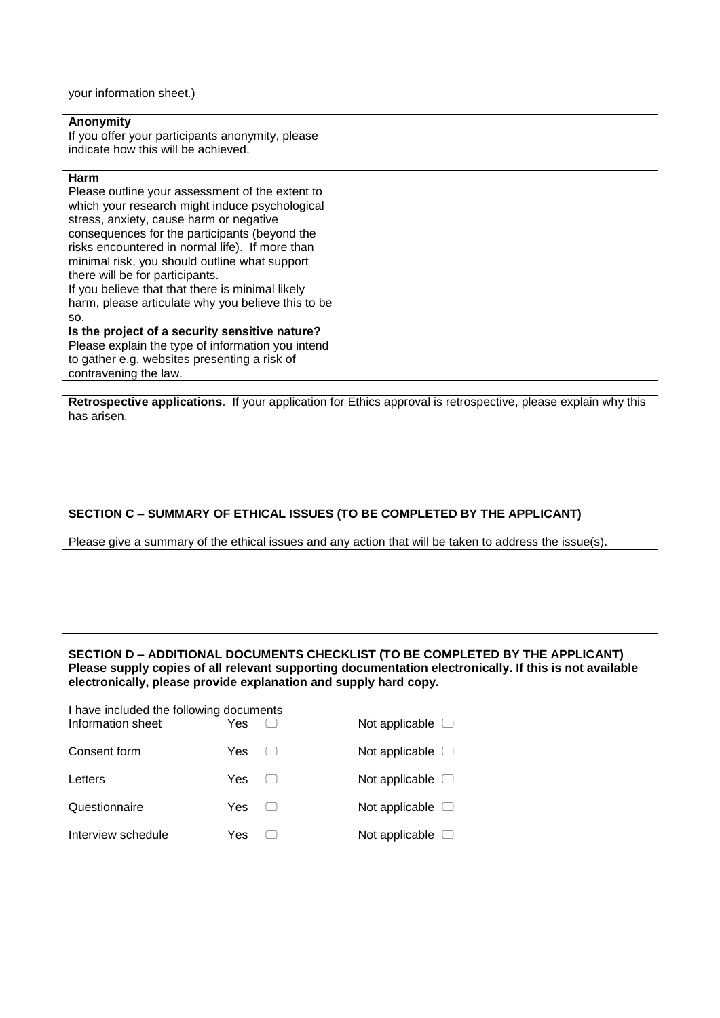| your information sheet.)                                                                                                                                                                                                                                                                                                                                                                                                                                      |  |
|---------------------------------------------------------------------------------------------------------------------------------------------------------------------------------------------------------------------------------------------------------------------------------------------------------------------------------------------------------------------------------------------------------------------------------------------------------------|--|
| Anonymity<br>If you offer your participants anonymity, please<br>indicate how this will be achieved.                                                                                                                                                                                                                                                                                                                                                          |  |
| Harm<br>Please outline your assessment of the extent to<br>which your research might induce psychological<br>stress, anxiety, cause harm or negative<br>consequences for the participants (beyond the<br>risks encountered in normal life). If more than<br>minimal risk, you should outline what support<br>there will be for participants.<br>If you believe that that there is minimal likely<br>harm, please articulate why you believe this to be<br>SO. |  |
| Is the project of a security sensitive nature?<br>Please explain the type of information you intend<br>to gather e.g. websites presenting a risk of<br>contravening the law.                                                                                                                                                                                                                                                                                  |  |

**Retrospective applications**. If your application for Ethics approval is retrospective, please explain why this has arisen.

## **SECTION C – SUMMARY OF ETHICAL ISSUES (TO BE COMPLETED BY THE APPLICANT)**

Please give a summary of the ethical issues and any action that will be taken to address the issue(s).

#### **SECTION D – ADDITIONAL DOCUMENTS CHECKLIST (TO BE COMPLETED BY THE APPLICANT) Please supply copies of all relevant supporting documentation electronically. If this is not available electronically, please provide explanation and supply hard copy.**

| I have included the following documents<br>Information sheet | Yes | Not applicable $\Box$ |
|--------------------------------------------------------------|-----|-----------------------|
| Consent form                                                 | Yes | Not applicable $\Box$ |
| Letters                                                      | Yes | Not applicable $\Box$ |
| Questionnaire                                                | Yes | Not applicable $\Box$ |
| Interview schedule                                           | Yes | Not applicable $\Box$ |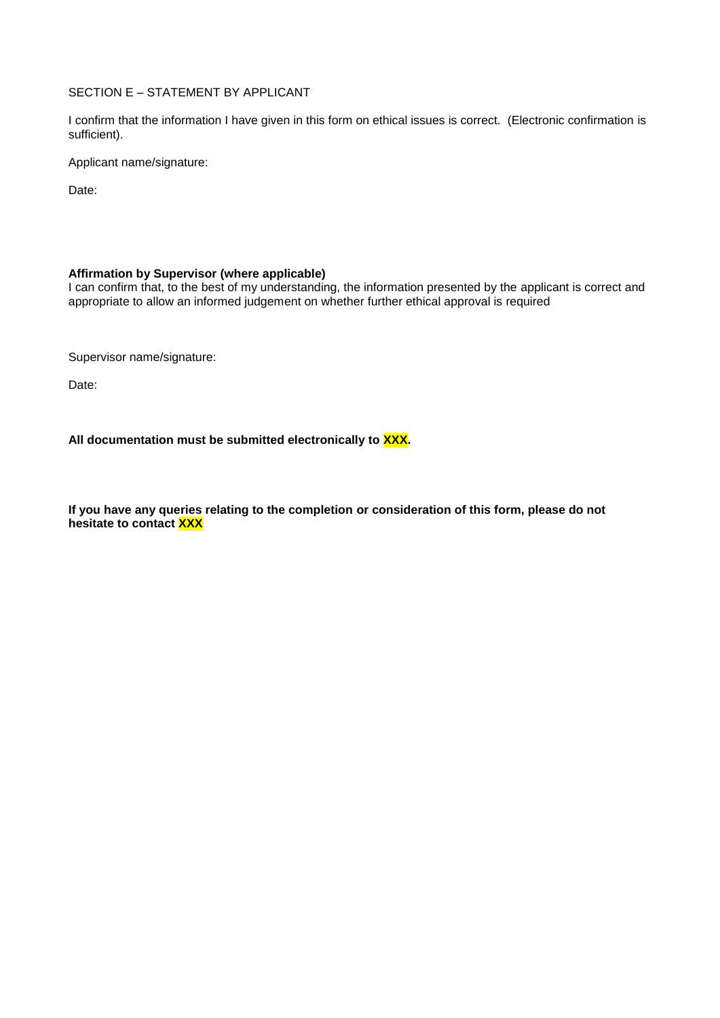#### SECTION E – STATEMENT BY APPLICANT

I confirm that the information I have given in this form on ethical issues is correct. (Electronic confirmation is sufficient).

Applicant name/signature:

Date:

#### **Affirmation by Supervisor (where applicable)**

I can confirm that, to the best of my understanding, the information presented by the applicant is correct and appropriate to allow an informed judgement on whether further ethical approval is required

Supervisor name/signature:

Date:

All documentation must be submitted electronically to **XXX**.

**If you have any queries relating to the completion or consideration of this form, please do not hesitate to contact XXX**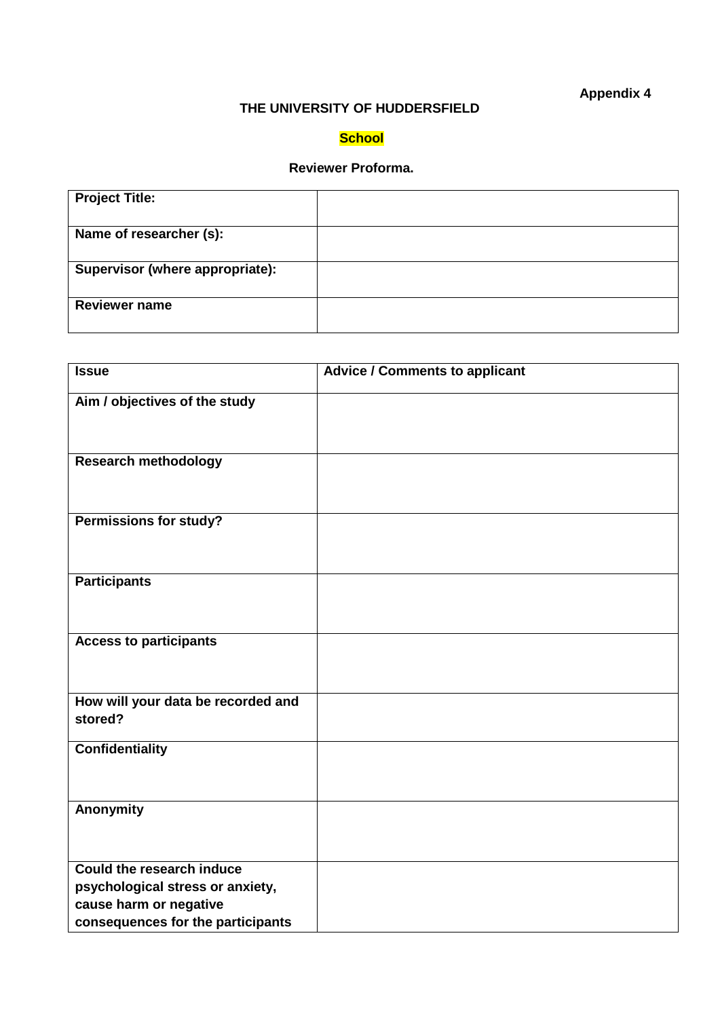## **Appendix 4**

## **THE UNIVERSITY OF HUDDERSFIELD**

## **School**

## **Reviewer Proforma.**

| <b>Project Title:</b>           |  |
|---------------------------------|--|
| Name of researcher (s):         |  |
| Supervisor (where appropriate): |  |
| <b>Reviewer name</b>            |  |

| <b>Issue</b>                       | <b>Advice / Comments to applicant</b> |
|------------------------------------|---------------------------------------|
| Aim / objectives of the study      |                                       |
|                                    |                                       |
|                                    |                                       |
| <b>Research methodology</b>        |                                       |
|                                    |                                       |
|                                    |                                       |
| <b>Permissions for study?</b>      |                                       |
|                                    |                                       |
|                                    |                                       |
| <b>Participants</b>                |                                       |
|                                    |                                       |
|                                    |                                       |
| <b>Access to participants</b>      |                                       |
|                                    |                                       |
|                                    |                                       |
| How will your data be recorded and |                                       |
| stored?                            |                                       |
| <b>Confidentiality</b>             |                                       |
|                                    |                                       |
|                                    |                                       |
| Anonymity                          |                                       |
|                                    |                                       |
|                                    |                                       |
| <b>Could the research induce</b>   |                                       |
| psychological stress or anxiety,   |                                       |
| cause harm or negative             |                                       |
| consequences for the participants  |                                       |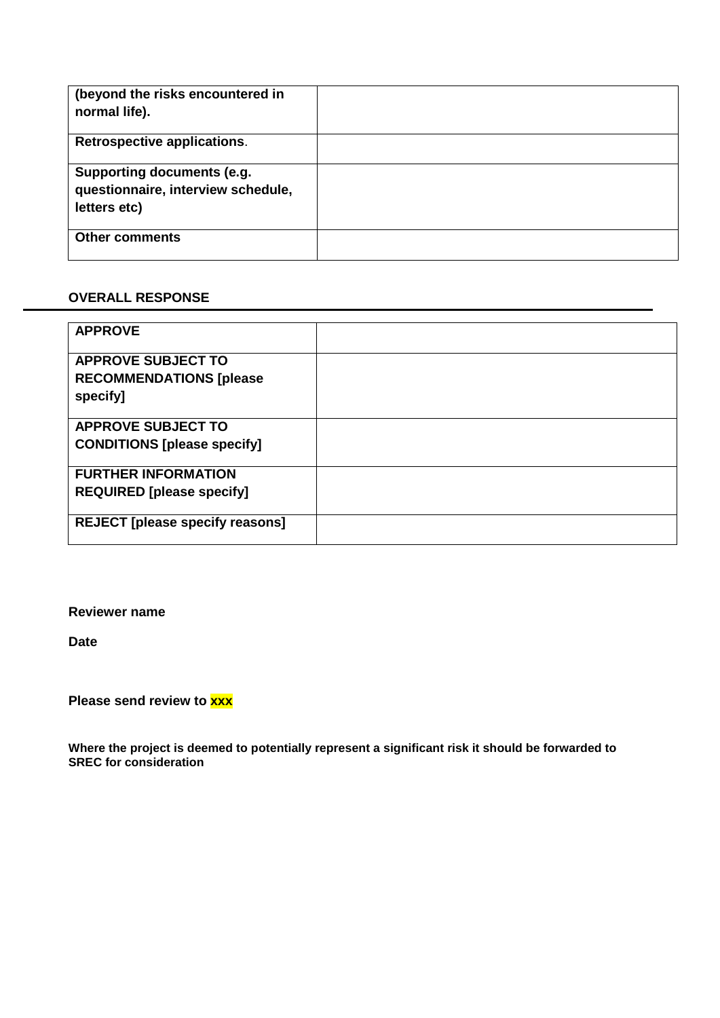| (beyond the risks encountered in<br>normal life).                                |  |
|----------------------------------------------------------------------------------|--|
| Retrospective applications.                                                      |  |
| Supporting documents (e.g.<br>questionnaire, interview schedule,<br>letters etc) |  |
| <b>Other comments</b>                                                            |  |

## **OVERALL RESPONSE**

| <b>APPROVE</b>                         |  |
|----------------------------------------|--|
|                                        |  |
|                                        |  |
| <b>APPROVE SUBJECT TO</b>              |  |
| <b>RECOMMENDATIONS [please</b>         |  |
|                                        |  |
| specify]                               |  |
|                                        |  |
| <b>APPROVE SUBJECT TO</b>              |  |
|                                        |  |
| <b>CONDITIONS [please specify]</b>     |  |
|                                        |  |
| <b>FURTHER INFORMATION</b>             |  |
|                                        |  |
| <b>REQUIRED [please specify]</b>       |  |
|                                        |  |
| <b>REJECT</b> [please specify reasons] |  |
|                                        |  |
|                                        |  |

### **Reviewer name**

**Date**

**Please send review to xxx**

**Where the project is deemed to potentially represent a significant risk it should be forwarded to SREC for consideration**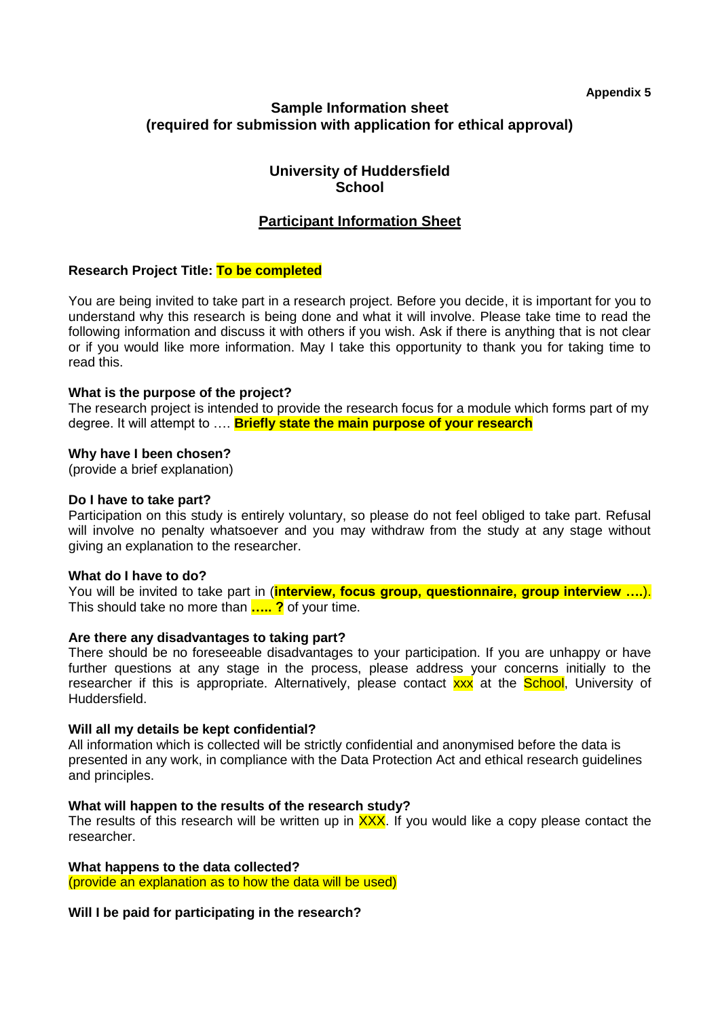**Appendix 5**

## **Sample Information sheet (required for submission with application for ethical approval)**

## **University of Huddersfield School**

## **Participant Information Sheet**

## **Research Project Title: To be completed**

You are being invited to take part in a research project. Before you decide, it is important for you to understand why this research is being done and what it will involve. Please take time to read the following information and discuss it with others if you wish. Ask if there is anything that is not clear or if you would like more information. May I take this opportunity to thank you for taking time to read this.

#### **What is the purpose of the project?**

The research project is intended to provide the research focus for a module which forms part of my degree. It will attempt to …. **Briefly state the main purpose of your research**

#### **Why have I been chosen?**

(provide a brief explanation)

#### **Do I have to take part?**

Participation on this study is entirely voluntary, so please do not feel obliged to take part. Refusal will involve no penalty whatsoever and you may withdraw from the study at any stage without giving an explanation to the researcher.

#### **What do I have to do?**

You will be invited to take part in (**interview, focus group, questionnaire, group interview ….**). This should take no more than **….. ?** of your time.

#### **Are there any disadvantages to taking part?**

There should be no foreseeable disadvantages to your participation. If you are unhappy or have further questions at any stage in the process, please address your concerns initially to the researcher if this is appropriate. Alternatively, please contact  $xxx$  at the School, University of Huddersfield.

#### **Will all my details be kept confidential?**

All information which is collected will be strictly confidential and anonymised before the data is presented in any work, in compliance with the Data Protection Act and ethical research guidelines and principles.

#### **What will happen to the results of the research study?**

The results of this research will be written up in  $\overline{XXX}$ . If you would like a copy please contact the researcher.

#### **What happens to the data collected?**

(provide an explanation as to how the data will be used)

#### **Will I be paid for participating in the research?**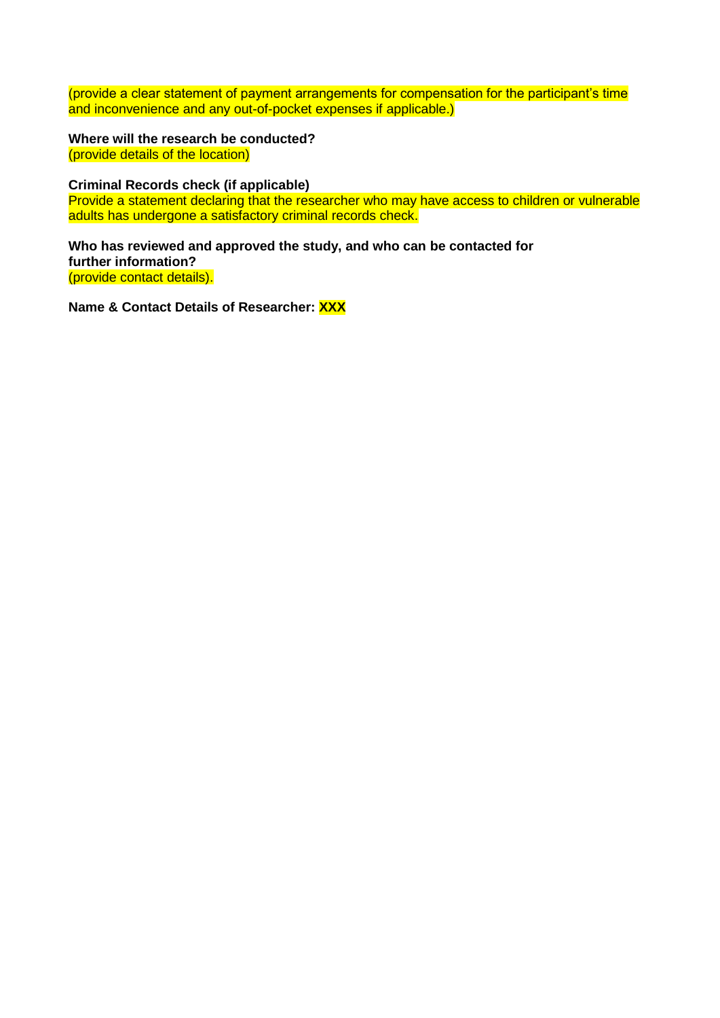(provide a clear statement of payment arrangements for compensation for the participant's time and inconvenience and any out-of-pocket expenses if applicable.)

**Where will the research be conducted?** (provide details of the location)

**Criminal Records check (if applicable)**

Provide a statement declaring that the researcher who may have access to children or vulnerable adults has undergone a satisfactory criminal records check.

**Who has reviewed and approved the study, and who can be contacted for further information?** (provide contact details).

**Name & Contact Details of Researcher: XXX**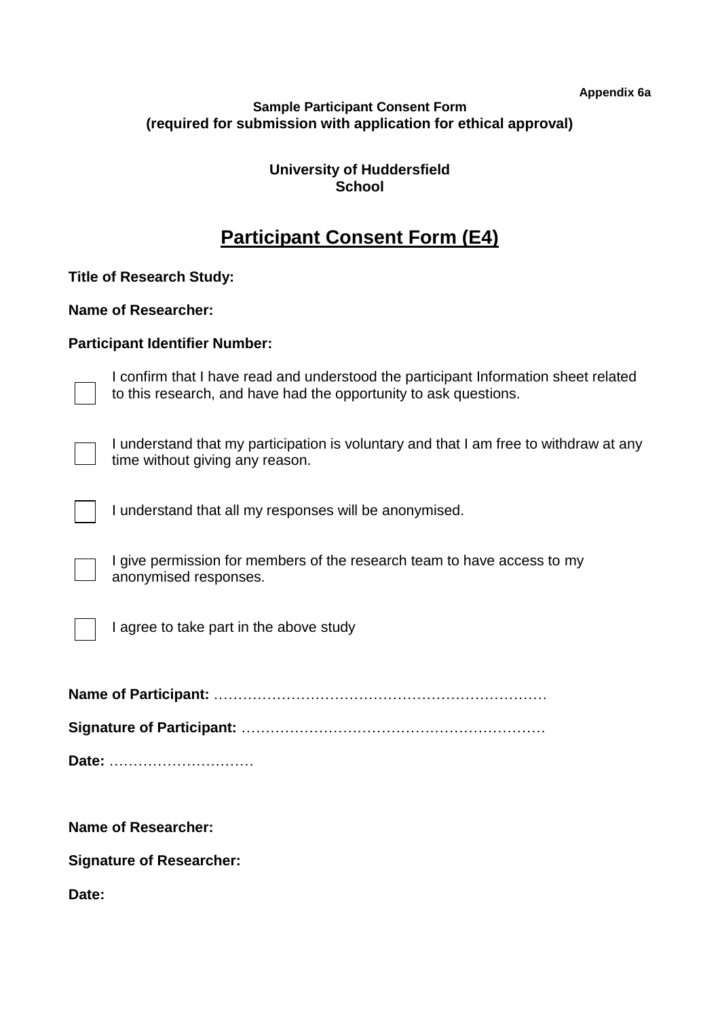**Appendix 6a**

| <b>Sample Participant Consent Form</b>                          |  |
|-----------------------------------------------------------------|--|
| (required for submission with application for ethical approval) |  |

**University of Huddersfield School**

# **Participant Consent Form (E4)**

**Title of Research Study:**

**Name of Researcher:**

## **Participant Identifier Number:**

I confirm that I have read and understood the participant Information sheet related to this research, and have had the opportunity to ask questions.

I understand that my participation is voluntary and that I am free to withdraw at any time without giving any reason.

I understand that all my responses will be anonymised.

I give permission for members of the research team to have access to my anonymised responses.

I agree to take part in the above study

**Name of Participant:** ……………………………………………………………

**Signature of Participant:** ………………………………………………………

**Date:** …………………………

**Name of Researcher:**

**Signature of Researcher:**

**Date:**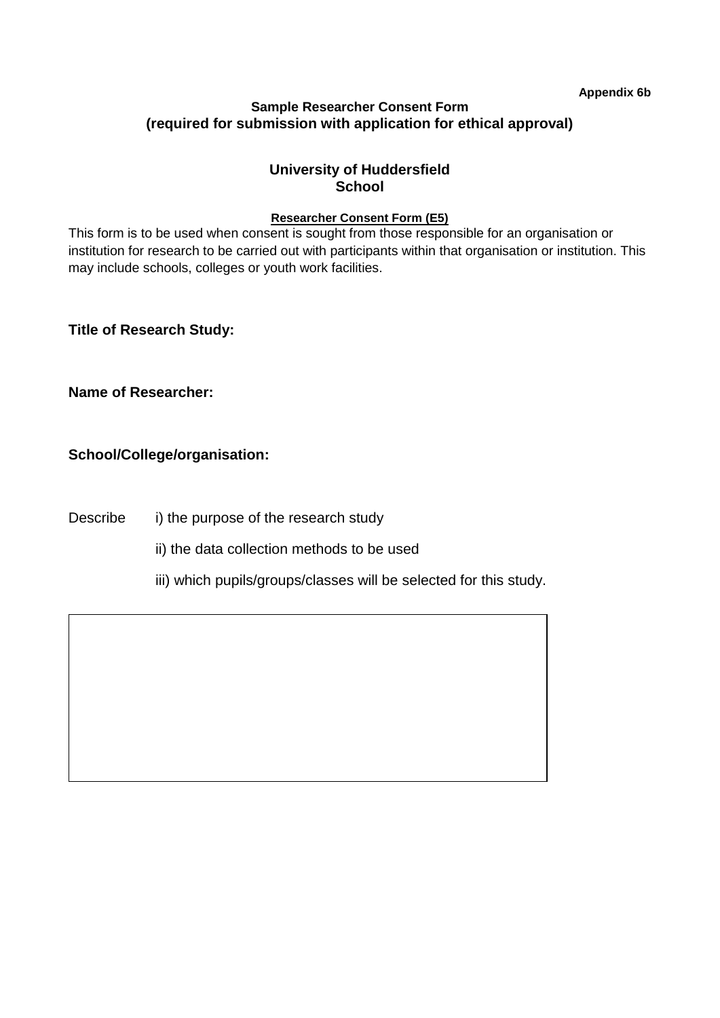**Appendix 6b**

## **Sample Researcher Consent Form (required for submission with application for ethical approval)**

## **University of Huddersfield School**

## **Researcher Consent Form (E5)**

This form is to be used when consent is sought from those responsible for an organisation or institution for research to be carried out with participants within that organisation or institution. This may include schools, colleges or youth work facilities.

**Title of Research Study:**

**Name of Researcher:**

## **School/College/organisation:**

Describe i) the purpose of the research study

ii) the data collection methods to be used

iii) which pupils/groups/classes will be selected for this study.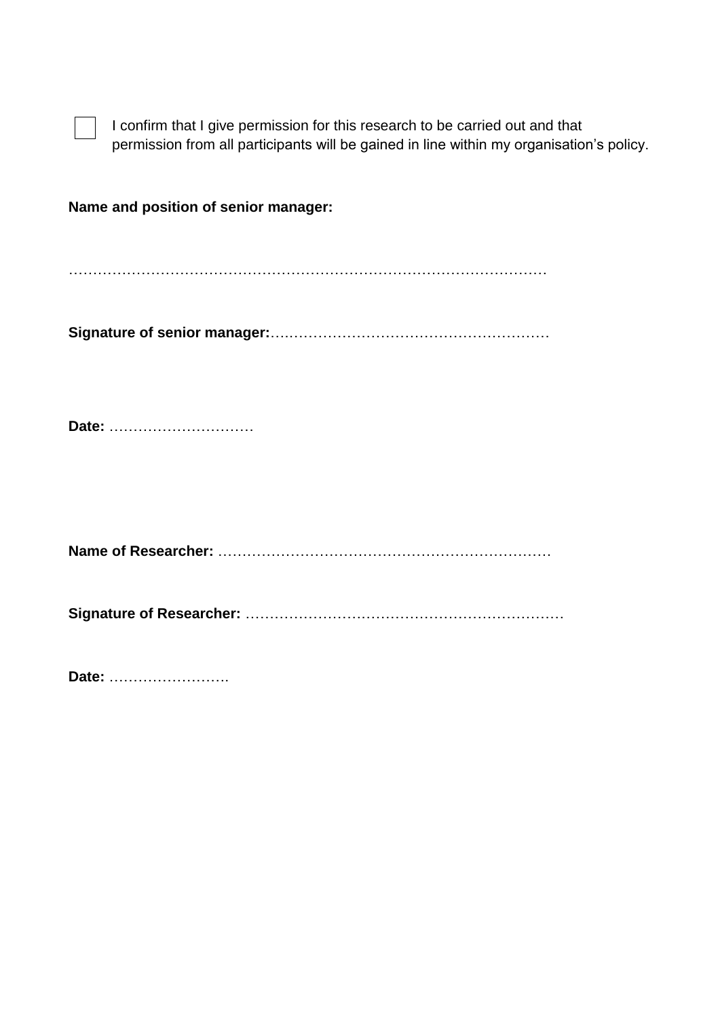| I confirm that I give permission for this research to be carried out and that            |
|------------------------------------------------------------------------------------------|
| permission from all participants will be gained in line within my organisation's policy. |

**Name and position of senior manager:**

………………………………………………………………………………………

**Signature of senior manager:**….………………………………………………

**Date:** …………………………

**Name of Researcher:** ……………………………………………………………

**Signature of Researcher:** …………………………………………………………

**Date:** …………………….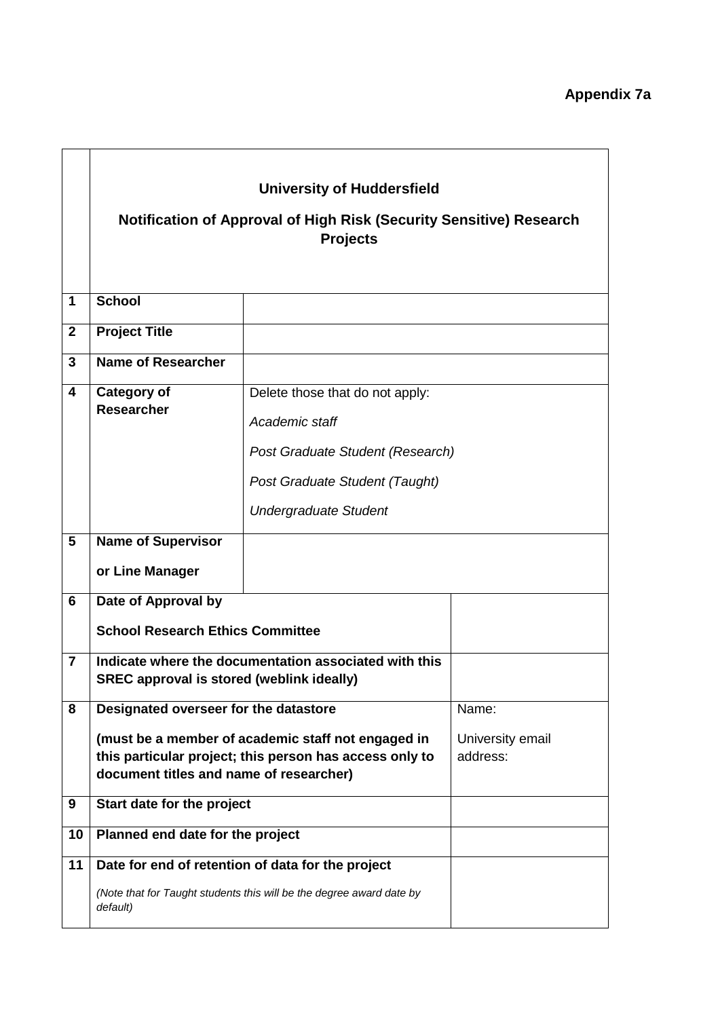|                |                                                                                                                                                                                                   | <b>University of Huddersfield</b><br><b>Notification of Approval of High Risk (Security Sensitive) Research</b><br><b>Projects</b> |                                       |
|----------------|---------------------------------------------------------------------------------------------------------------------------------------------------------------------------------------------------|------------------------------------------------------------------------------------------------------------------------------------|---------------------------------------|
| 1              | <b>School</b>                                                                                                                                                                                     |                                                                                                                                    |                                       |
| $\mathbf{2}$   | <b>Project Title</b>                                                                                                                                                                              |                                                                                                                                    |                                       |
| 3              | <b>Name of Researcher</b>                                                                                                                                                                         |                                                                                                                                    |                                       |
| 4              | <b>Category of</b><br><b>Researcher</b>                                                                                                                                                           | Delete those that do not apply:<br>Academic staff<br>Post Graduate Student (Research)<br>Post Graduate Student (Taught)            |                                       |
|                |                                                                                                                                                                                                   | <b>Undergraduate Student</b>                                                                                                       |                                       |
| $5\phantom{1}$ | <b>Name of Supervisor</b><br>or Line Manager                                                                                                                                                      |                                                                                                                                    |                                       |
| 6              | Date of Approval by<br><b>School Research Ethics Committee</b>                                                                                                                                    |                                                                                                                                    |                                       |
| $\overline{7}$ | Indicate where the documentation associated with this<br><b>SREC approval is stored (weblink ideally)</b>                                                                                         |                                                                                                                                    |                                       |
| 8              | Designated overseer for the datastore<br>(must be a member of academic staff not engaged in<br>this particular project; this person has access only to<br>document titles and name of researcher) |                                                                                                                                    | Name:<br>University email<br>address: |
| 9              | Start date for the project                                                                                                                                                                        |                                                                                                                                    |                                       |
| 10             | Planned end date for the project                                                                                                                                                                  |                                                                                                                                    |                                       |
| 11             | default)                                                                                                                                                                                          | Date for end of retention of data for the project<br>(Note that for Taught students this will be the degree award date by          |                                       |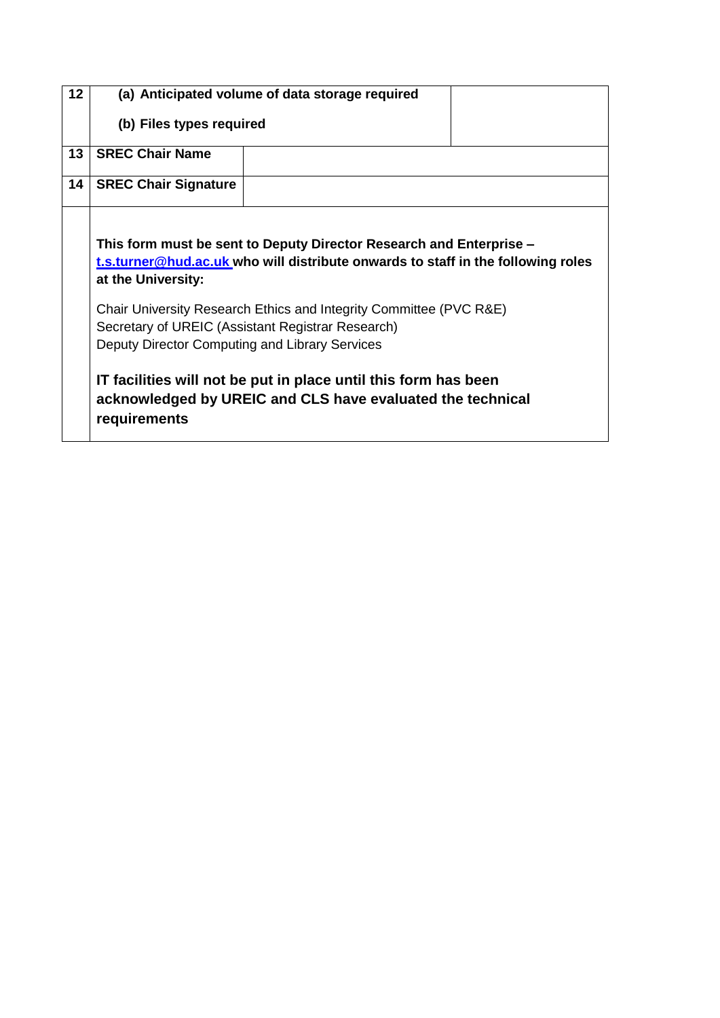| 12 |                                                   | (a) Anticipated volume of data storage required                                                                               |  |
|----|---------------------------------------------------|-------------------------------------------------------------------------------------------------------------------------------|--|
|    | (b) Files types required                          |                                                                                                                               |  |
| 13 | <b>SREC Chair Name</b>                            |                                                                                                                               |  |
| 14 | <b>SREC Chair Signature</b>                       |                                                                                                                               |  |
|    |                                                   |                                                                                                                               |  |
|    |                                                   | This form must be sent to Deputy Director Research and Enterprise –                                                           |  |
|    |                                                   | t.s.turner@hud.ac.uk who will distribute onwards to staff in the following roles                                              |  |
|    | at the University:                                |                                                                                                                               |  |
|    |                                                   | Chair University Research Ethics and Integrity Committee (PVC R&E)                                                            |  |
|    | Secretary of UREIC (Assistant Registrar Research) |                                                                                                                               |  |
|    | Deputy Director Computing and Library Services    |                                                                                                                               |  |
|    | requirements                                      | IT facilities will not be put in place until this form has been<br>acknowledged by UREIC and CLS have evaluated the technical |  |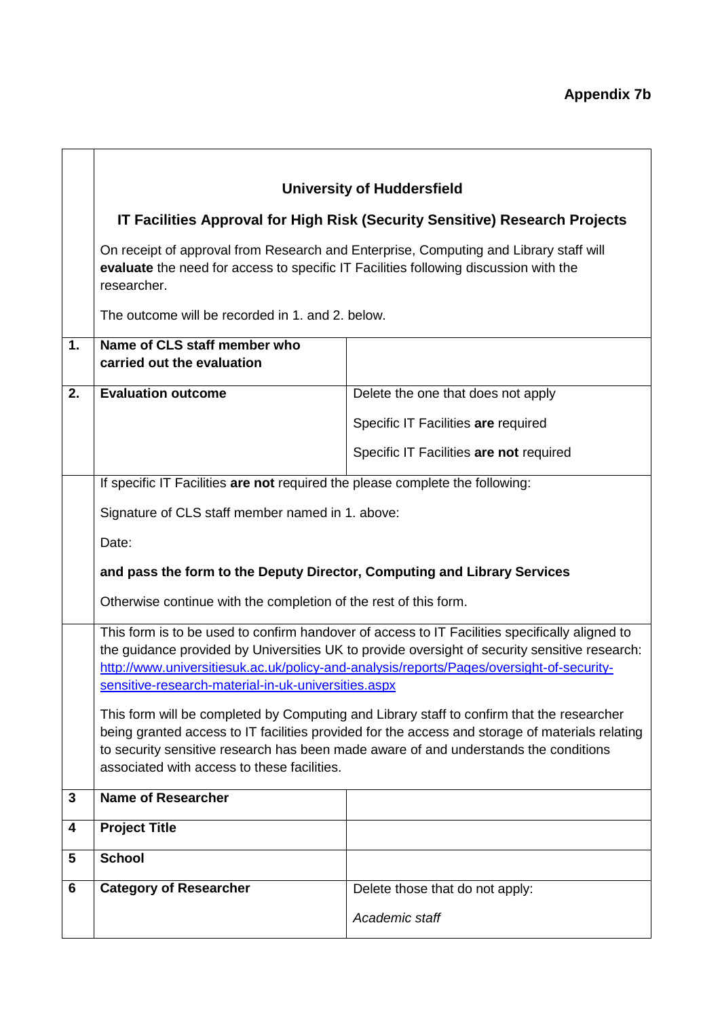|    |                                                                                                     | <b>University of Huddersfield</b>                                                                                                                                                                                                                                                                                                                                                                                                                                                                                                                                                   |
|----|-----------------------------------------------------------------------------------------------------|-------------------------------------------------------------------------------------------------------------------------------------------------------------------------------------------------------------------------------------------------------------------------------------------------------------------------------------------------------------------------------------------------------------------------------------------------------------------------------------------------------------------------------------------------------------------------------------|
|    |                                                                                                     | IT Facilities Approval for High Risk (Security Sensitive) Research Projects                                                                                                                                                                                                                                                                                                                                                                                                                                                                                                         |
|    | evaluate the need for access to specific IT Facilities following discussion with the<br>researcher. | On receipt of approval from Research and Enterprise, Computing and Library staff will                                                                                                                                                                                                                                                                                                                                                                                                                                                                                               |
|    | The outcome will be recorded in 1. and 2. below.                                                    |                                                                                                                                                                                                                                                                                                                                                                                                                                                                                                                                                                                     |
| 1. | Name of CLS staff member who<br>carried out the evaluation                                          |                                                                                                                                                                                                                                                                                                                                                                                                                                                                                                                                                                                     |
| 2. | <b>Evaluation outcome</b>                                                                           | Delete the one that does not apply                                                                                                                                                                                                                                                                                                                                                                                                                                                                                                                                                  |
|    |                                                                                                     | Specific IT Facilities are required                                                                                                                                                                                                                                                                                                                                                                                                                                                                                                                                                 |
|    |                                                                                                     | Specific IT Facilities are not required                                                                                                                                                                                                                                                                                                                                                                                                                                                                                                                                             |
|    | If specific IT Facilities are not required the please complete the following:                       |                                                                                                                                                                                                                                                                                                                                                                                                                                                                                                                                                                                     |
|    | Signature of CLS staff member named in 1. above:                                                    |                                                                                                                                                                                                                                                                                                                                                                                                                                                                                                                                                                                     |
|    | Date:                                                                                               |                                                                                                                                                                                                                                                                                                                                                                                                                                                                                                                                                                                     |
|    | and pass the form to the Deputy Director, Computing and Library Services                            |                                                                                                                                                                                                                                                                                                                                                                                                                                                                                                                                                                                     |
|    | Otherwise continue with the completion of the rest of this form.                                    |                                                                                                                                                                                                                                                                                                                                                                                                                                                                                                                                                                                     |
|    | sensitive-research-material-in-uk-universities.aspx<br>associated with access to these facilities.  | This form is to be used to confirm handover of access to IT Facilities specifically aligned to<br>the guidance provided by Universities UK to provide oversight of security sensitive research:<br>http://www.universitiesuk.ac.uk/policy-and-analysis/reports/Pages/oversight-of-security-<br>This form will be completed by Computing and Library staff to confirm that the researcher<br>being granted access to IT facilities provided for the access and storage of materials relating<br>to security sensitive research has been made aware of and understands the conditions |
| 3  | <b>Name of Researcher</b>                                                                           |                                                                                                                                                                                                                                                                                                                                                                                                                                                                                                                                                                                     |
| 4  | <b>Project Title</b>                                                                                |                                                                                                                                                                                                                                                                                                                                                                                                                                                                                                                                                                                     |
| 5  | <b>School</b>                                                                                       |                                                                                                                                                                                                                                                                                                                                                                                                                                                                                                                                                                                     |
| 6  | <b>Category of Researcher</b>                                                                       | Delete those that do not apply:                                                                                                                                                                                                                                                                                                                                                                                                                                                                                                                                                     |
|    |                                                                                                     | Academic staff                                                                                                                                                                                                                                                                                                                                                                                                                                                                                                                                                                      |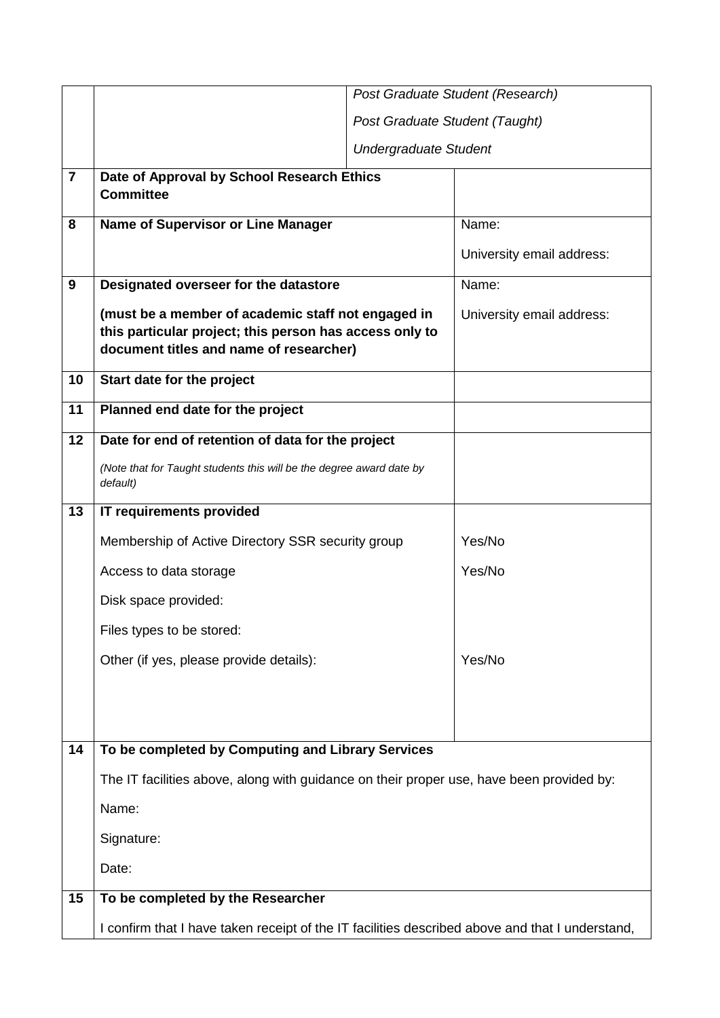|                |                                                                                                                                                          |                                | Post Graduate Student (Research) |
|----------------|----------------------------------------------------------------------------------------------------------------------------------------------------------|--------------------------------|----------------------------------|
|                |                                                                                                                                                          | Post Graduate Student (Taught) |                                  |
|                |                                                                                                                                                          | <b>Undergraduate Student</b>   |                                  |
| $\overline{7}$ | Date of Approval by School Research Ethics<br><b>Committee</b>                                                                                           |                                |                                  |
| 8              | <b>Name of Supervisor or Line Manager</b>                                                                                                                |                                | Name:                            |
|                |                                                                                                                                                          |                                | University email address:        |
| 9              | Designated overseer for the datastore                                                                                                                    |                                | Name:                            |
|                | (must be a member of academic staff not engaged in<br>this particular project; this person has access only to<br>document titles and name of researcher) |                                | University email address:        |
| 10             | Start date for the project                                                                                                                               |                                |                                  |
| 11             | Planned end date for the project                                                                                                                         |                                |                                  |
| 12             | Date for end of retention of data for the project                                                                                                        |                                |                                  |
|                | (Note that for Taught students this will be the degree award date by<br>default)                                                                         |                                |                                  |
| 13             | IT requirements provided                                                                                                                                 |                                |                                  |
|                | Membership of Active Directory SSR security group                                                                                                        |                                | Yes/No                           |
|                | Access to data storage                                                                                                                                   |                                | Yes/No                           |
|                | Disk space provided:                                                                                                                                     |                                |                                  |
|                | Files types to be stored:                                                                                                                                |                                |                                  |
|                | Other (if yes, please provide details):                                                                                                                  |                                | Yes/No                           |
|                |                                                                                                                                                          |                                |                                  |
|                |                                                                                                                                                          |                                |                                  |
| 14             | To be completed by Computing and Library Services                                                                                                        |                                |                                  |
|                | The IT facilities above, along with guidance on their proper use, have been provided by:                                                                 |                                |                                  |
|                | Name:                                                                                                                                                    |                                |                                  |
|                | Signature:                                                                                                                                               |                                |                                  |
|                | Date:                                                                                                                                                    |                                |                                  |
| 15             | To be completed by the Researcher                                                                                                                        |                                |                                  |
|                | I confirm that I have taken receipt of the IT facilities described above and that I understand,                                                          |                                |                                  |